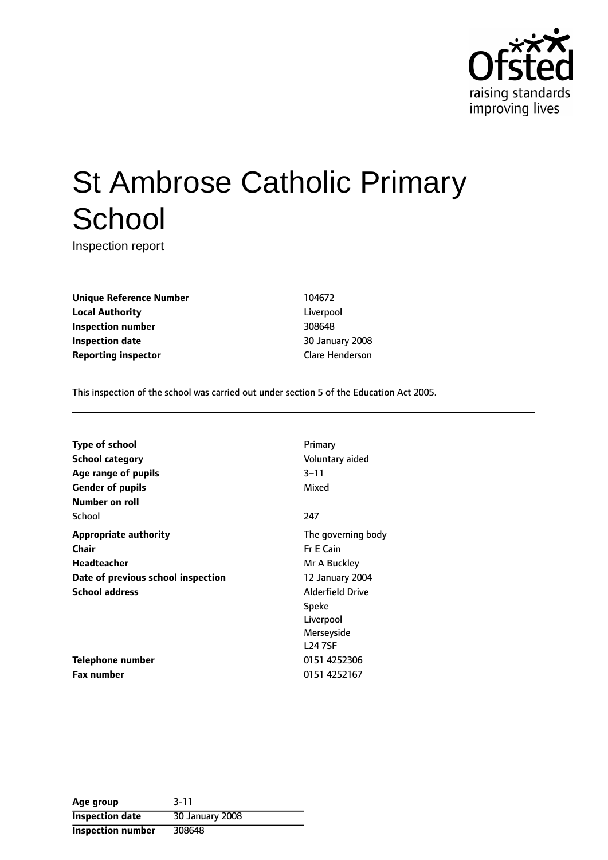

# St Ambrose Catholic Primary **School**

Inspection report

**Unique Reference Number** 104672 **Local Authority** Liverpool **Inspection number** 308648 **Inspection date** 30 January 2008 **Reporting inspector** Clare Henderson

This inspection of the school was carried out under section 5 of the Education Act 2005.

| <b>Type of school</b>              | Primary                 |
|------------------------------------|-------------------------|
| School category                    | Voluntary aided         |
| Age range of pupils                | $3 - 11$                |
| <b>Gender of pupils</b>            | Mixed                   |
| Number on roll                     |                         |
| School                             | 247                     |
| <b>Appropriate authority</b>       | The governing body      |
| Chair                              | <b>Fr E Cain</b>        |
| Headteacher                        | Mr A Buckley            |
| Date of previous school inspection | 12 January 2004         |
| <b>School address</b>              | <b>Alderfield Drive</b> |
|                                    | Speke                   |
|                                    | Liverpool               |
|                                    | Merseyside              |
|                                    | <b>L24 7SF</b>          |
| Telephone number                   | 0151 4252306            |
| <b>Fax number</b>                  | 0151 4252167            |

| Age group                | $3 - 11$        |
|--------------------------|-----------------|
| <b>Inspection date</b>   | 30 January 2008 |
| <b>Inspection number</b> | 308648          |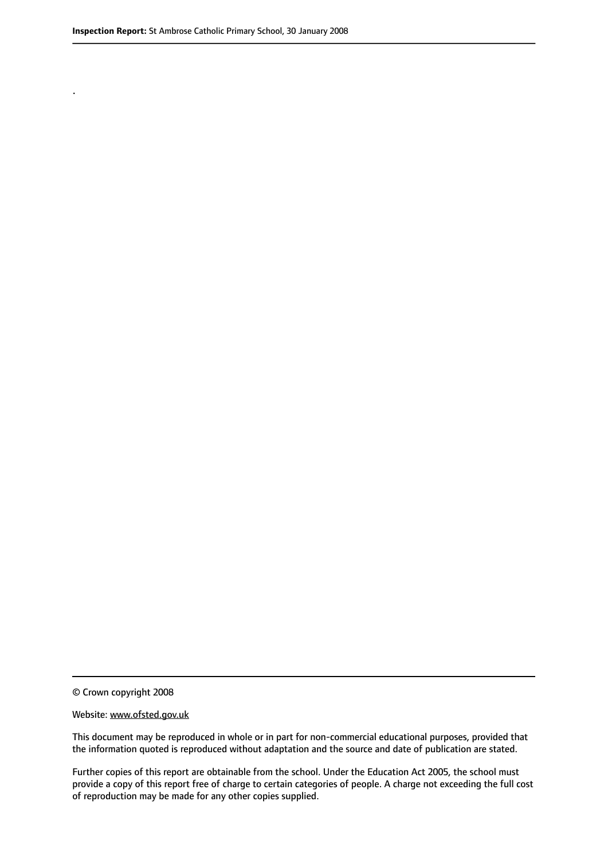.

© Crown copyright 2008

#### Website: www.ofsted.gov.uk

This document may be reproduced in whole or in part for non-commercial educational purposes, provided that the information quoted is reproduced without adaptation and the source and date of publication are stated.

Further copies of this report are obtainable from the school. Under the Education Act 2005, the school must provide a copy of this report free of charge to certain categories of people. A charge not exceeding the full cost of reproduction may be made for any other copies supplied.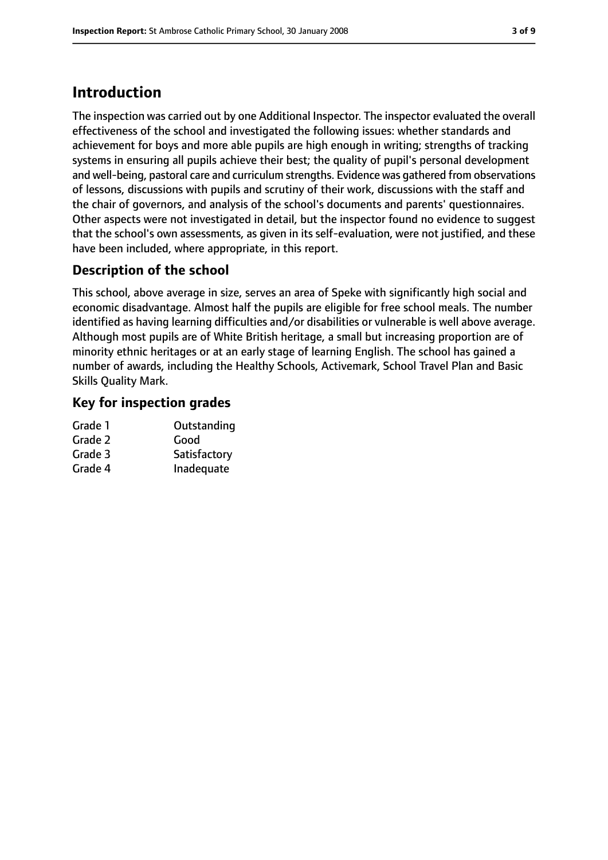## **Introduction**

The inspection was carried out by one Additional Inspector. The inspector evaluated the overall effectiveness of the school and investigated the following issues: whether standards and achievement for boys and more able pupils are high enough in writing; strengths of tracking systems in ensuring all pupils achieve their best; the quality of pupil's personal development and well-being, pastoral care and curriculum strengths. Evidence was gathered from observations of lessons, discussions with pupils and scrutiny of their work, discussions with the staff and the chair of governors, and analysis of the school's documents and parents' questionnaires. Other aspects were not investigated in detail, but the inspector found no evidence to suggest that the school's own assessments, as given in its self-evaluation, were not justified, and these have been included, where appropriate, in this report.

#### **Description of the school**

This school, above average in size, serves an area of Speke with significantly high social and economic disadvantage. Almost half the pupils are eligible for free school meals. The number identified as having learning difficulties and/or disabilities or vulnerable is well above average. Although most pupils are of White British heritage, a small but increasing proportion are of minority ethnic heritages or at an early stage of learning English. The school has gained a number of awards, including the Healthy Schools, Activemark, School Travel Plan and Basic Skills Quality Mark.

#### **Key for inspection grades**

| Outstanding  |
|--------------|
| Good         |
| Satisfactory |
| Inadequate   |
|              |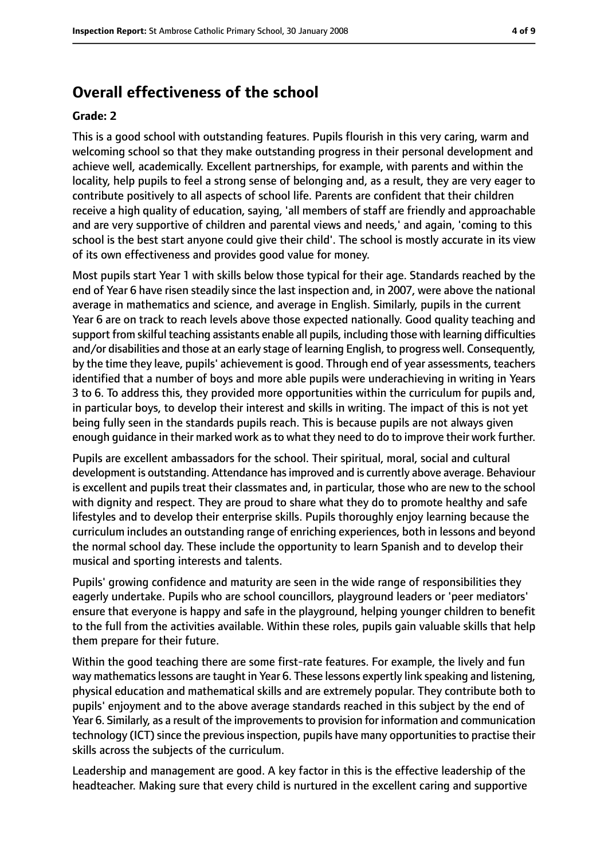### **Overall effectiveness of the school**

#### **Grade: 2**

This is a good school with outstanding features. Pupils flourish in this very caring, warm and welcoming school so that they make outstanding progress in their personal development and achieve well, academically. Excellent partnerships, for example, with parents and within the locality, help pupils to feel a strong sense of belonging and, as a result, they are very eager to contribute positively to all aspects of school life. Parents are confident that their children receive a high quality of education, saying, 'all members of staff are friendly and approachable and are very supportive of children and parental views and needs,' and again, 'coming to this school is the best start anyone could give their child'. The school is mostly accurate in its view of its own effectiveness and provides good value for money.

Most pupils start Year 1 with skills below those typical for their age. Standards reached by the end of Year 6 have risen steadily since the last inspection and, in 2007, were above the national average in mathematics and science, and average in English. Similarly, pupils in the current Year 6 are on track to reach levels above those expected nationally. Good quality teaching and support from skilful teaching assistants enable all pupils, including those with learning difficulties and/or disabilities and those at an early stage of learning English, to progress well. Consequently, by the time they leave, pupils' achievement is good. Through end of year assessments, teachers identified that a number of boys and more able pupils were underachieving in writing in Years 3 to 6. To address this, they provided more opportunities within the curriculum for pupils and, in particular boys, to develop their interest and skills in writing. The impact of this is not yet being fully seen in the standards pupils reach. This is because pupils are not always given enough guidance in their marked work as to what they need to do to improve their work further.

Pupils are excellent ambassadors for the school. Their spiritual, moral, social and cultural development is outstanding. Attendance hasimproved and is currently above average. Behaviour is excellent and pupils treat their classmates and, in particular, those who are new to the school with dignity and respect. They are proud to share what they do to promote healthy and safe lifestyles and to develop their enterprise skills. Pupils thoroughly enjoy learning because the curriculum includes an outstanding range of enriching experiences, both in lessons and beyond the normal school day. These include the opportunity to learn Spanish and to develop their musical and sporting interests and talents.

Pupils' growing confidence and maturity are seen in the wide range of responsibilities they eagerly undertake. Pupils who are school councillors, playground leaders or 'peer mediators' ensure that everyone is happy and safe in the playground, helping younger children to benefit to the full from the activities available. Within these roles, pupils gain valuable skills that help them prepare for their future.

Within the good teaching there are some first-rate features. For example, the lively and fun way mathematics lessons are taught in Year 6. These lessons expertly link speaking and listening, physical education and mathematical skills and are extremely popular. They contribute both to pupils' enjoyment and to the above average standards reached in this subject by the end of Year 6. Similarly, as a result of the improvements to provision for information and communication technology (ICT) since the previous inspection, pupils have many opportunities to practise their skills across the subjects of the curriculum.

Leadership and management are good. A key factor in this is the effective leadership of the headteacher. Making sure that every child is nurtured in the excellent caring and supportive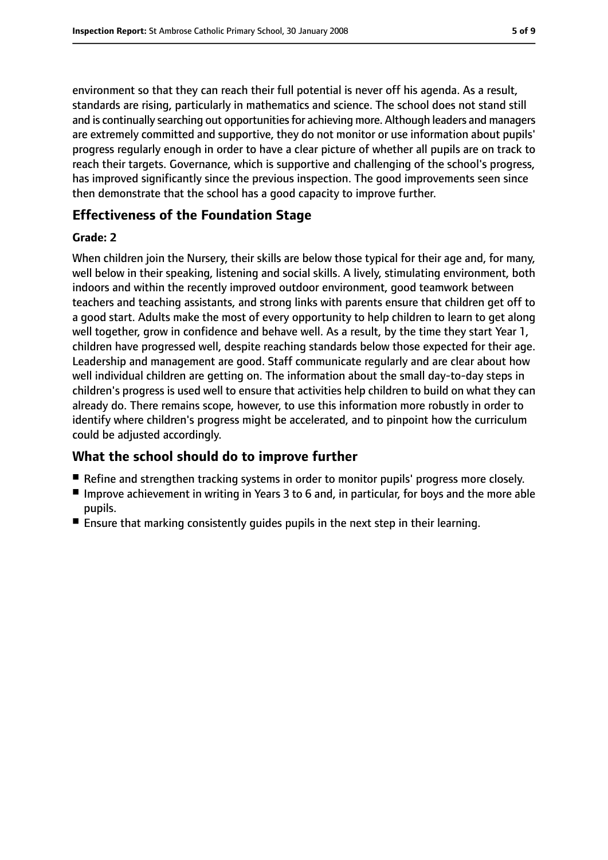environment so that they can reach their full potential is never off his agenda. As a result, standards are rising, particularly in mathematics and science. The school does not stand still and is continually searching out opportunities for achieving more. Although leaders and managers are extremely committed and supportive, they do not monitor or use information about pupils' progress regularly enough in order to have a clear picture of whether all pupils are on track to reach their targets. Governance, which is supportive and challenging of the school's progress, has improved significantly since the previous inspection. The good improvements seen since then demonstrate that the school has a good capacity to improve further.

#### **Effectiveness of the Foundation Stage**

#### **Grade: 2**

When children join the Nursery, their skills are below those typical for their age and, for many, well below in their speaking, listening and social skills. A lively, stimulating environment, both indoors and within the recently improved outdoor environment, good teamwork between teachers and teaching assistants, and strong links with parents ensure that children get off to a good start. Adults make the most of every opportunity to help children to learn to get along well together, grow in confidence and behave well. As a result, by the time they start Year 1, children have progressed well, despite reaching standards below those expected for their age. Leadership and management are good. Staff communicate regularly and are clear about how well individual children are getting on. The information about the small day-to-day steps in children's progress is used well to ensure that activities help children to build on what they can already do. There remains scope, however, to use this information more robustly in order to identify where children's progress might be accelerated, and to pinpoint how the curriculum could be adjusted accordingly.

#### **What the school should do to improve further**

- Refine and strengthen tracking systems in order to monitor pupils' progress more closely.
- Improve achievement in writing in Years 3 to 6 and, in particular, for boys and the more able pupils.
- Ensure that marking consistently quides pupils in the next step in their learning.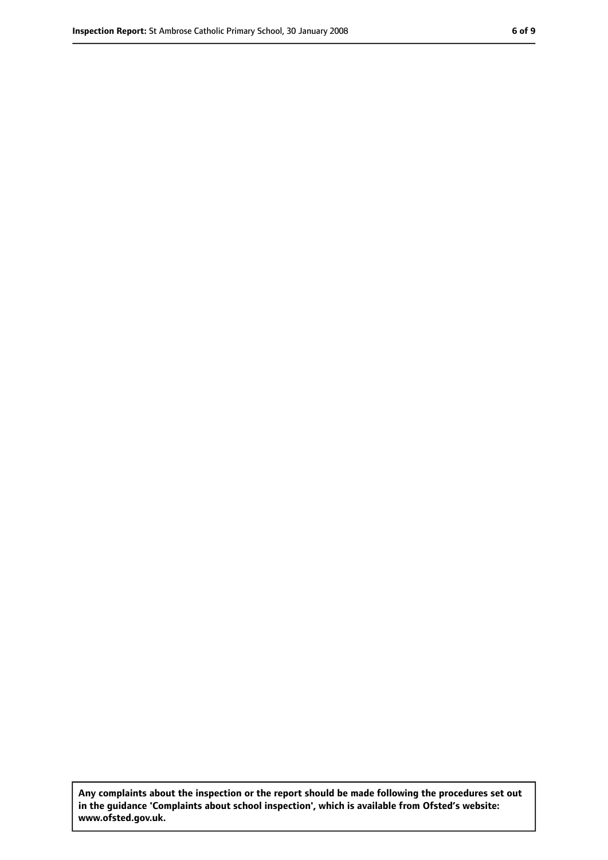**Any complaints about the inspection or the report should be made following the procedures set out in the guidance 'Complaints about school inspection', which is available from Ofsted's website: www.ofsted.gov.uk.**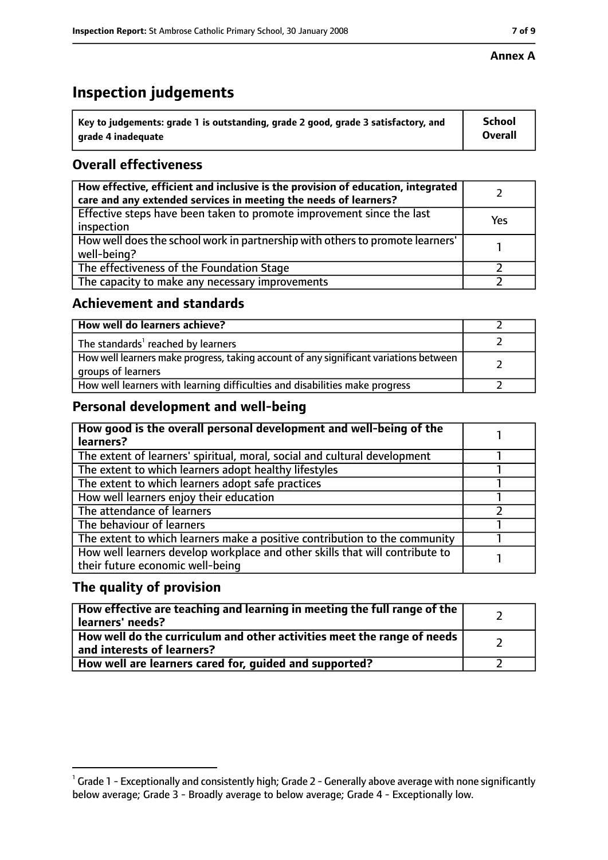## **Inspection judgements**

| $^{\backprime}$ Key to judgements: grade 1 is outstanding, grade 2 good, grade 3 satisfactory, and | <b>School</b>  |
|----------------------------------------------------------------------------------------------------|----------------|
| arade 4 inadequate                                                                                 | <b>Overall</b> |

#### **Overall effectiveness**

| How effective, efficient and inclusive is the provision of education, integrated<br>care and any extended services in meeting the needs of learners? |     |
|------------------------------------------------------------------------------------------------------------------------------------------------------|-----|
| Effective steps have been taken to promote improvement since the last<br>inspection                                                                  | Yes |
| How well does the school work in partnership with others to promote learners'<br>well-being?                                                         |     |
| The effectiveness of the Foundation Stage                                                                                                            |     |
| The capacity to make any necessary improvements                                                                                                      |     |

#### **Achievement and standards**

| How well do learners achieve?                                                                               |  |
|-------------------------------------------------------------------------------------------------------------|--|
| The standards <sup>1</sup> reached by learners                                                              |  |
| How well learners make progress, taking account of any significant variations between<br>groups of learners |  |
| How well learners with learning difficulties and disabilities make progress                                 |  |

#### **Personal development and well-being**

| How good is the overall personal development and well-being of the<br>learners?                                  |  |
|------------------------------------------------------------------------------------------------------------------|--|
| The extent of learners' spiritual, moral, social and cultural development                                        |  |
| The extent to which learners adopt healthy lifestyles                                                            |  |
| The extent to which learners adopt safe practices                                                                |  |
| How well learners enjoy their education                                                                          |  |
| The attendance of learners                                                                                       |  |
| The behaviour of learners                                                                                        |  |
| The extent to which learners make a positive contribution to the community                                       |  |
| How well learners develop workplace and other skills that will contribute to<br>their future economic well-being |  |

#### **The quality of provision**

| How effective are teaching and learning in meeting the full range of the<br>learners' needs?          |  |
|-------------------------------------------------------------------------------------------------------|--|
| How well do the curriculum and other activities meet the range of needs<br>and interests of learners? |  |
| How well are learners cared for, guided and supported?                                                |  |

#### **Annex A**

 $^1$  Grade 1 - Exceptionally and consistently high; Grade 2 - Generally above average with none significantly below average; Grade 3 - Broadly average to below average; Grade 4 - Exceptionally low.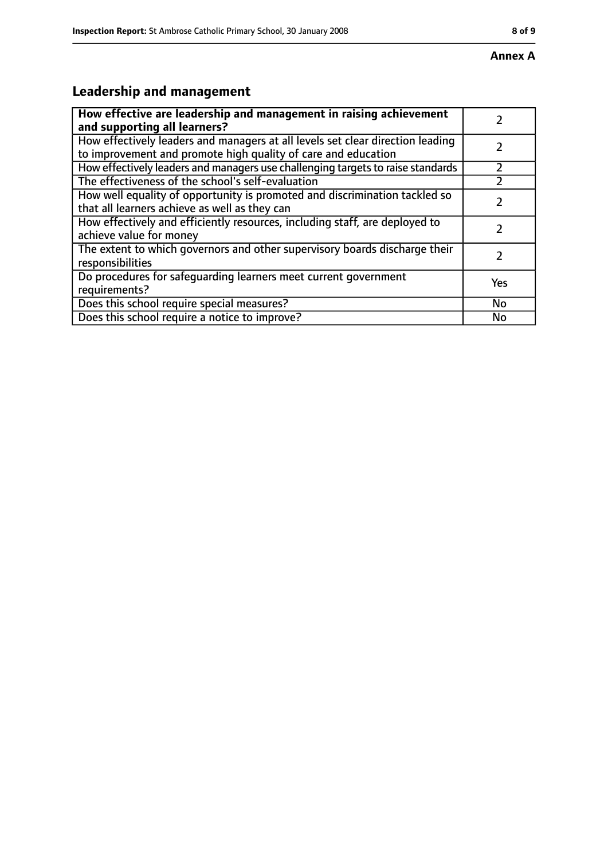# **Leadership and management**

| How effective are leadership and management in raising achievement              |     |
|---------------------------------------------------------------------------------|-----|
| and supporting all learners?                                                    |     |
| How effectively leaders and managers at all levels set clear direction leading  |     |
| to improvement and promote high quality of care and education                   |     |
| How effectively leaders and managers use challenging targets to raise standards |     |
| The effectiveness of the school's self-evaluation                               |     |
| How well equality of opportunity is promoted and discrimination tackled so      |     |
| that all learners achieve as well as they can                                   |     |
| How effectively and efficiently resources, including staff, are deployed to     | 7   |
| achieve value for money                                                         |     |
| The extent to which governors and other supervisory boards discharge their      |     |
| responsibilities                                                                |     |
| Do procedures for safequarding learners meet current government                 | Yes |
| requirements?                                                                   |     |
| Does this school require special measures?                                      | No  |
| Does this school require a notice to improve?                                   | No  |